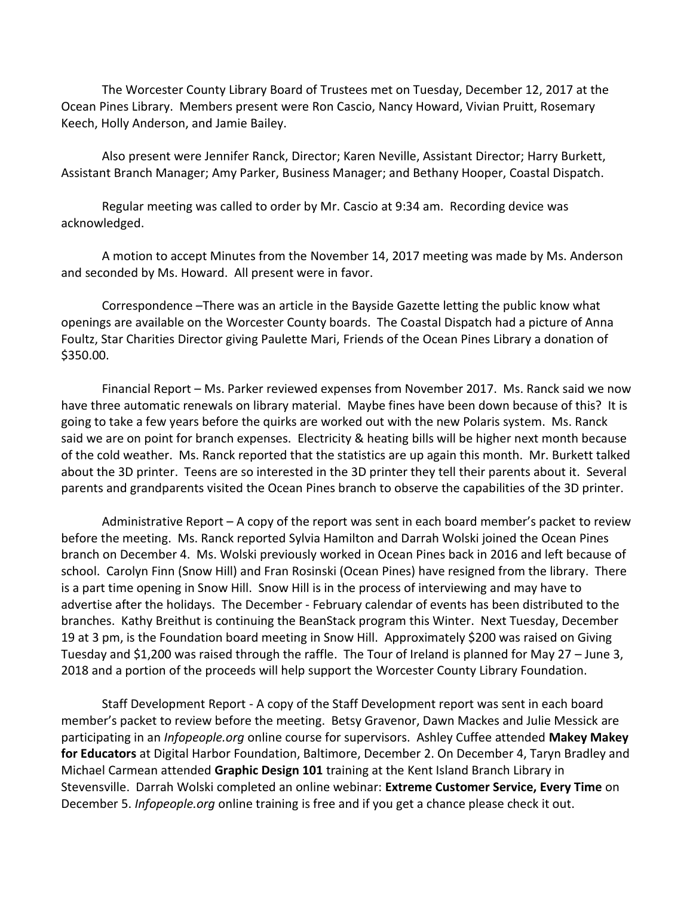The Worcester County Library Board of Trustees met on Tuesday, December 12, 2017 at the Ocean Pines Library. Members present were Ron Cascio, Nancy Howard, Vivian Pruitt, Rosemary Keech, Holly Anderson, and Jamie Bailey.

Also present were Jennifer Ranck, Director; Karen Neville, Assistant Director; Harry Burkett, Assistant Branch Manager; Amy Parker, Business Manager; and Bethany Hooper, Coastal Dispatch.

Regular meeting was called to order by Mr. Cascio at 9:34 am. Recording device was acknowledged.

A motion to accept Minutes from the November 14, 2017 meeting was made by Ms. Anderson and seconded by Ms. Howard. All present were in favor.

Correspondence –There was an article in the Bayside Gazette letting the public know what openings are available on the Worcester County boards. The Coastal Dispatch had a picture of Anna Foultz, Star Charities Director giving Paulette Mari, Friends of the Ocean Pines Library a donation of \$350.00.

Financial Report – Ms. Parker reviewed expenses from November 2017. Ms. Ranck said we now have three automatic renewals on library material. Maybe fines have been down because of this? It is going to take a few years before the quirks are worked out with the new Polaris system. Ms. Ranck said we are on point for branch expenses. Electricity & heating bills will be higher next month because of the cold weather. Ms. Ranck reported that the statistics are up again this month. Mr. Burkett talked about the 3D printer. Teens are so interested in the 3D printer they tell their parents about it. Several parents and grandparents visited the Ocean Pines branch to observe the capabilities of the 3D printer.

Administrative Report – A copy of the report was sent in each board member's packet to review before the meeting. Ms. Ranck reported Sylvia Hamilton and Darrah Wolski joined the Ocean Pines branch on December 4. Ms. Wolski previously worked in Ocean Pines back in 2016 and left because of school. Carolyn Finn (Snow Hill) and Fran Rosinski (Ocean Pines) have resigned from the library. There is a part time opening in Snow Hill. Snow Hill is in the process of interviewing and may have to advertise after the holidays. The December - February calendar of events has been distributed to the branches. Kathy Breithut is continuing the BeanStack program this Winter. Next Tuesday, December 19 at 3 pm, is the Foundation board meeting in Snow Hill. Approximately \$200 was raised on Giving Tuesday and \$1,200 was raised through the raffle. The Tour of Ireland is planned for May 27 – June 3, 2018 and a portion of the proceeds will help support the Worcester County Library Foundation.

Staff Development Report - A copy of the Staff Development report was sent in each board member's packet to review before the meeting. Betsy Gravenor, Dawn Mackes and Julie Messick are participating in an *Infopeople.org* online course for supervisors. Ashley Cuffee attended **Makey Makey for Educators** at Digital Harbor Foundation, Baltimore, December 2. On December 4, Taryn Bradley and Michael Carmean attended **Graphic Design 101** training at the Kent Island Branch Library in Stevensville. Darrah Wolski completed an online webinar: **Extreme Customer Service, Every Time** on December 5. *Infopeople.org* online training is free and if you get a chance please check it out.